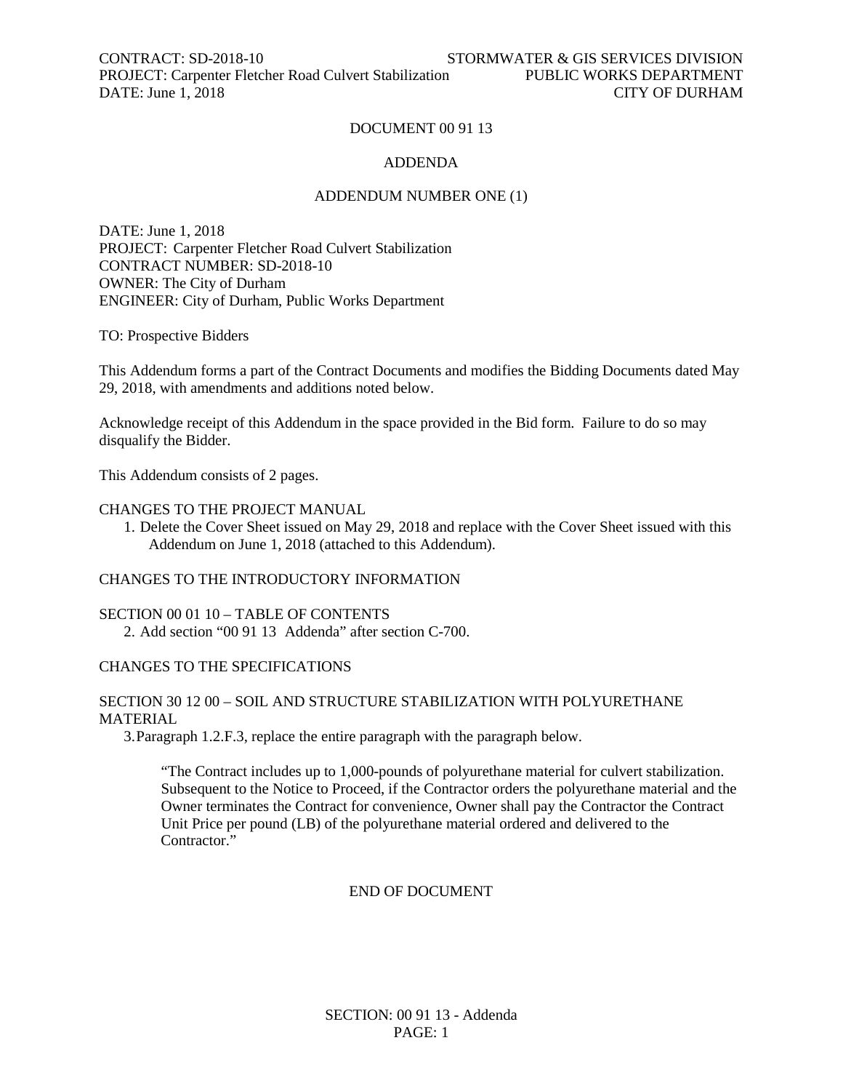CONTRACT: SD-2018-10 STORMWATER & GIS SERVICES DIVISION PROJECT: Carpenter Fletcher Road Culvert Stabilization PUBLIC WORKS DEPARTMENT DATE: June 1, 2018 2008

#### DOCUMENT 00 91 13

#### ADDENDA

#### ADDENDUM NUMBER ONE (1)

DATE: June 1, 2018 PROJECT: Carpenter Fletcher Road Culvert Stabilization CONTRACT NUMBER: SD-2018-10 OWNER: The City of Durham ENGINEER: City of Durham, Public Works Department

TO: Prospective Bidders

This Addendum forms a part of the Contract Documents and modifies the Bidding Documents dated May 29, 2018, with amendments and additions noted below.

Acknowledge receipt of this Addendum in the space provided in the Bid form. Failure to do so may disqualify the Bidder.

This Addendum consists of 2 pages.

#### CHANGES TO THE PROJECT MANUAL

1. Delete the Cover Sheet issued on May 29, 2018 and replace with the Cover Sheet issued with this Addendum on June 1, 2018 (attached to this Addendum).

#### CHANGES TO THE INTRODUCTORY INFORMATION

SECTION 00 01 10 – TABLE OF CONTENTS 2. Add section "00 91 13 Addenda" after section C-700.

#### CHANGES TO THE SPECIFICATIONS

#### SECTION 30 12 00 – SOIL AND STRUCTURE STABILIZATION WITH POLYURETHANE MATERIAL

3.Paragraph 1.2.F.3, replace the entire paragraph with the paragraph below.

"The Contract includes up to 1,000-pounds of polyurethane material for culvert stabilization. Subsequent to the Notice to Proceed, if the Contractor orders the polyurethane material and the Owner terminates the Contract for convenience, Owner shall pay the Contractor the Contract Unit Price per pound (LB) of the polyurethane material ordered and delivered to the Contractor."

#### END OF DOCUMENT

SECTION: 00 91 13 - Addenda PAGE: 1